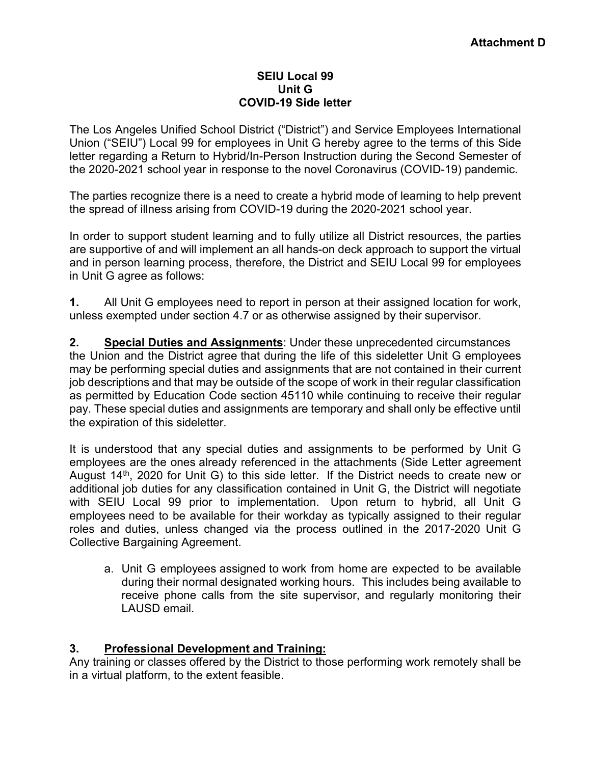## **SEIU Local 99 Unit G COVID-19 Side letter**

The Los Angeles Unified School District ("District") and Service Employees International Union ("SEIU") Local 99 for employees in Unit G hereby agree to the terms of this Side letter regarding a Return to Hybrid/In-Person Instruction during the Second Semester of the 2020-2021 school year in response to the novel Coronavirus (COVID-19) pandemic.

The parties recognize there is a need to create a hybrid mode of learning to help prevent the spread of illness arising from COVID-19 during the 2020-2021 school year.

In order to support student learning and to fully utilize all District resources, the parties are supportive of and will implement an all hands-on deck approach to support the virtual and in person learning process, therefore, the District and SEIU Local 99 for employees in Unit G agree as follows:

**1.** All Unit G employees need to report in person at their assigned location for work, unless exempted under section 4.7 or as otherwise assigned by their supervisor.

**2. Special Duties and Assignments**: Under these unprecedented circumstances the Union and the District agree that during the life of this sideletter Unit G employees may be performing special duties and assignments that are not contained in their current job descriptions and that may be outside of the scope of work in their regular classification as permitted by Education Code section 45110 while continuing to receive their regular pay. These special duties and assignments are temporary and shall only be effective until the expiration of this sideletter.

It is understood that any special duties and assignments to be performed by Unit G employees are the ones already referenced in the attachments (Side Letter agreement August  $14<sup>th</sup>$ , 2020 for Unit G) to this side letter. If the District needs to create new or additional job duties for any classification contained in Unit G, the District will negotiate with SEIU Local 99 prior to implementation. Upon return to hybrid, all Unit G employees need to be available for their workday as typically assigned to their regular roles and duties, unless changed via the process outlined in the 2017-2020 Unit G Collective Bargaining Agreement.

a. Unit G employees assigned to work from home are expected to be available during their normal designated working hours. This includes being available to receive phone calls from the site supervisor, and regularly monitoring their LAUSD email.

## **3. Professional Development and Training:**

Any training or classes offered by the District to those performing work remotely shall be in a virtual platform, to the extent feasible.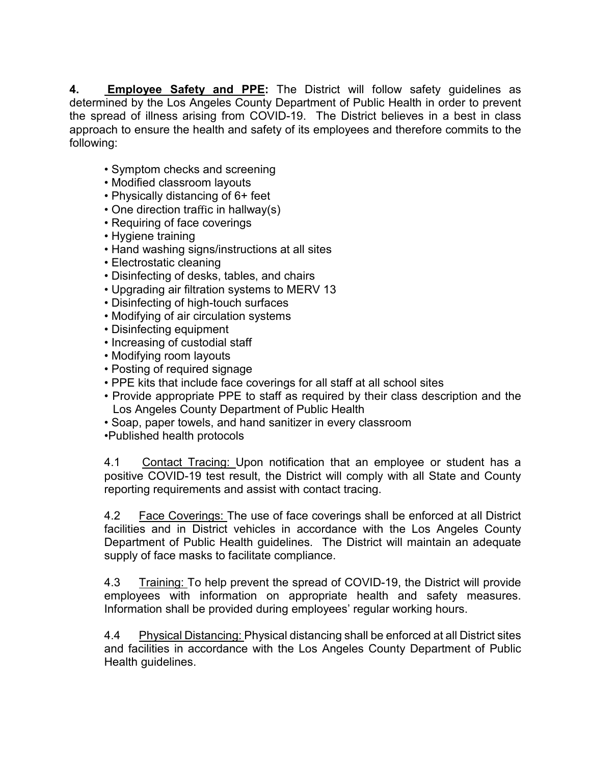**4. Employee Safety and PPE:** The District will follow safety guidelines as determined by the Los Angeles County Department of Public Health in order to prevent the spread of illness arising from COVID-19. The District believes in a best in class approach to ensure the health and safety of its employees and therefore commits to the following:

- Symptom checks and screening
- Modified classroom layouts
- Physically distancing of 6+ feet
- One direction traffic in hallway(s)
- Requiring of face coverings
- Hygiene training
- Hand washing signs/instructions at all sites
- Electrostatic cleaning
- Disinfecting of desks, tables, and chairs
- Upgrading air filtration systems to MERV 13
- Disinfecting of high-touch surfaces
- Modifying of air circulation systems
- Disinfecting equipment
- Increasing of custodial staff
- Modifying room layouts
- Posting of required signage
- PPE kits that include face coverings for all staff at all school sites
- Provide appropriate PPE to staff as required by their class description and the Los Angeles County Department of Public Health
- Soap, paper towels, and hand sanitizer in every classroom
- •Published health protocols

4.1 Contact Tracing: Upon notification that an employee or student has a positive COVID-19 test result, the District will comply with all State and County reporting requirements and assist with contact tracing.

4.2 Face Coverings: The use of face coverings shall be enforced at all District facilities and in District vehicles in accordance with the Los Angeles County Department of Public Health guidelines. The District will maintain an adequate supply of face masks to facilitate compliance.

4.3 Training: To help prevent the spread of COVID-19, the District will provide employees with information on appropriate health and safety measures. Information shall be provided during employees' regular working hours.

4.4 Physical Distancing: Physical distancing shall be enforced at all District sites and facilities in accordance with the Los Angeles County Department of Public Health guidelines.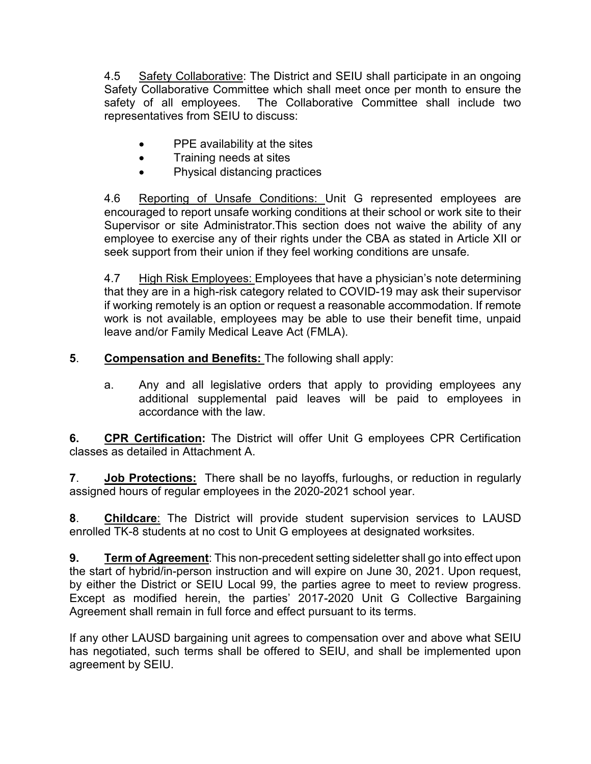4.5 Safety Collaborative: The District and SEIU shall participate in an ongoing Safety Collaborative Committee which shall meet once per month to ensure the safety of all employees. The Collaborative Committee shall include two representatives from SEIU to discuss:

- PPE availability at the sites
- Training needs at sites
- Physical distancing practices

4.6 Reporting of Unsafe Conditions: Unit G represented employees are encouraged to report unsafe working conditions at their school or work site to their Supervisor or site Administrator.This section does not waive the ability of any employee to exercise any of their rights under the CBA as stated in Article XII or seek support from their union if they feel working conditions are unsafe*.*

4.7 High Risk Employees: Employees that have a physician's note determining that they are in a high-risk category related to COVID-19 may ask their supervisor if working remotely is an option or request a reasonable accommodation. If remote work is not available, employees may be able to use their benefit time, unpaid leave and/or Family Medical Leave Act (FMLA).

**5**. **Compensation and Benefits:** The following shall apply:

a. Any and all legislative orders that apply to providing employees any additional supplemental paid leaves will be paid to employees in accordance with the law.

**6. CPR Certification:** The District will offer Unit G employees CPR Certification classes as detailed in Attachment A.

**7**. **Job Protections:** There shall be no layoffs, furloughs, or reduction in regularly assigned hours of regular employees in the 2020-2021 school year.

**8**. **Childcare**: The District will provide student supervision services to LAUSD enrolled TK-8 students at no cost to Unit G employees at designated worksites.

**9. Term of Agreement**: This non-precedent setting sideletter shall go into effect upon the start of hybrid/in-person instruction and will expire on June 30, 2021. Upon request, by either the District or SEIU Local 99, the parties agree to meet to review progress. Except as modified herein, the parties' 2017-2020 Unit G Collective Bargaining Agreement shall remain in full force and effect pursuant to its terms.

If any other LAUSD bargaining unit agrees to compensation over and above what SEIU has negotiated, such terms shall be offered to SEIU, and shall be implemented upon agreement by SEIU.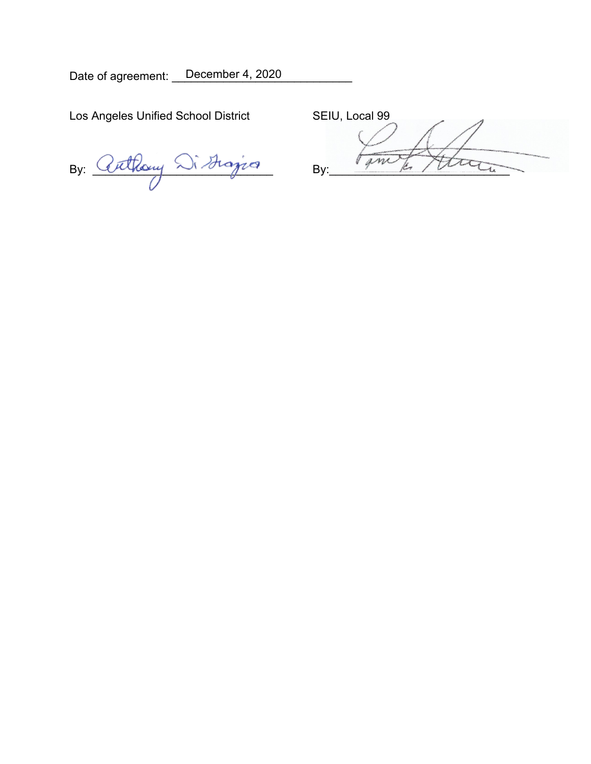Date of agreement: \_ December 4, 2020

Los Angeles Unified School District SEIU, Local 99

By: Cuthony  $\bigcirc$  Sistering By: Finish Athan